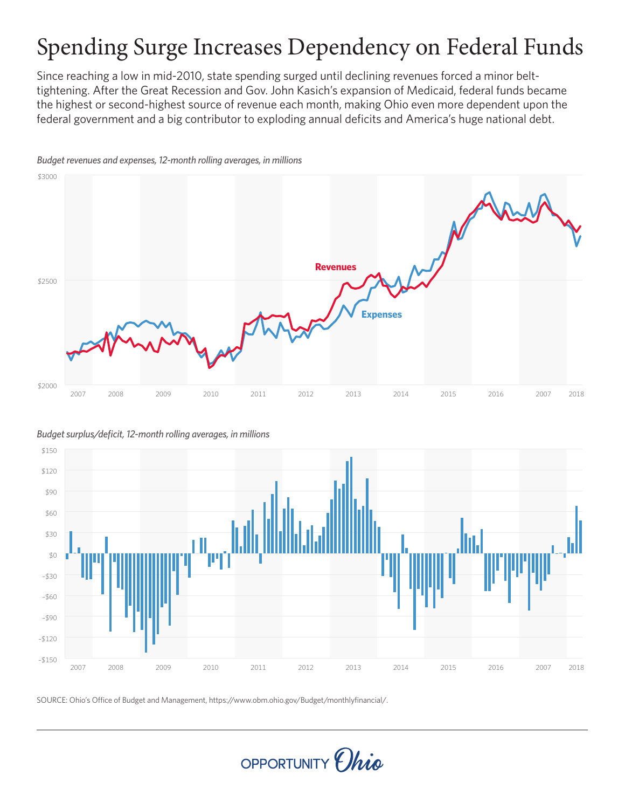# Spending Surge Increases Dependency on Federal Funds

Since reaching a low in mid-2010, state spending surged until declining revenues forced a minor belttightening. After the Great Recession and Gov. John Kasich's expansion of Medicaid, federal funds became the highest or second-highest source of revenue each month, making Ohio even more dependent upon the federal government and a big contributor to exploding annual deficits and America's huge national debt.



*Budget revenues and expenses, 12-month rolling averages, in millions*

*Budget surplus/deficit, 12-month rolling averages, in millions*



SOURCE: Ohio's Office of Budget and Management, https://www.obm.ohio.gov/Budget/monthlyfinancial/. SOURCE: Ohio's Oce of Budget and Management, https://www.obm.ohio.gov/Budget/monthlyfinancial/.